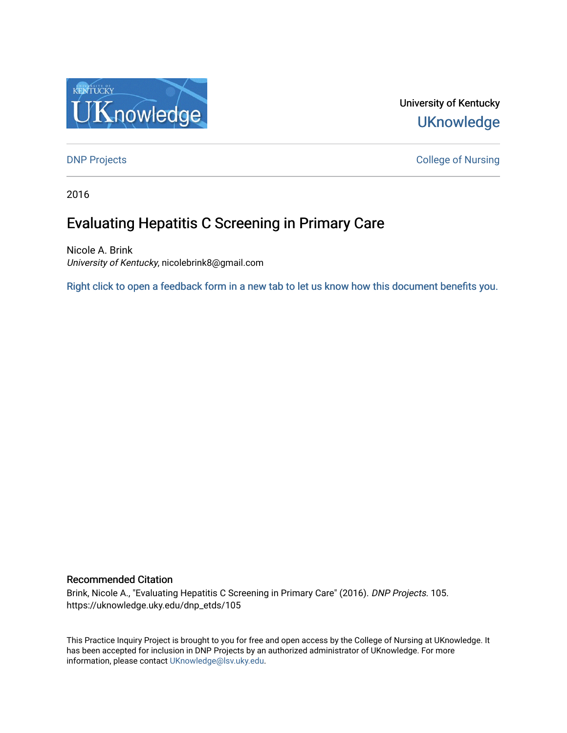

# University of Kentucky **UKnowledge**

**DNP Projects** College of Nursing

2016

# Evaluating Hepatitis C Screening in Primary Care

Nicole A. Brink University of Kentucky, nicolebrink8@gmail.com

[Right click to open a feedback form in a new tab to let us know how this document benefits you.](https://uky.az1.qualtrics.com/jfe/form/SV_9mq8fx2GnONRfz7)

#### Recommended Citation

Brink, Nicole A., "Evaluating Hepatitis C Screening in Primary Care" (2016). DNP Projects. 105. https://uknowledge.uky.edu/dnp\_etds/105

This Practice Inquiry Project is brought to you for free and open access by the College of Nursing at UKnowledge. It has been accepted for inclusion in DNP Projects by an authorized administrator of UKnowledge. For more information, please contact [UKnowledge@lsv.uky.edu](mailto:UKnowledge@lsv.uky.edu).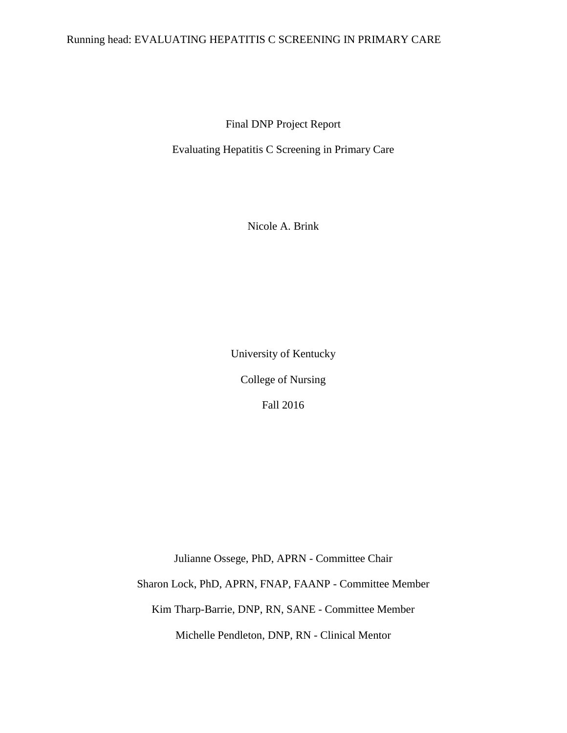### Running head: EVALUATING HEPATITIS C SCREENING IN PRIMARY CARE

Final DNP Project Report

Evaluating Hepatitis C Screening in Primary Care

Nicole A. Brink

University of Kentucky College of Nursing Fall 2016

Julianne Ossege, PhD, APRN - Committee Chair

Sharon Lock, PhD, APRN, FNAP, FAANP - Committee Member

Kim Tharp-Barrie, DNP, RN, SANE - Committee Member

Michelle Pendleton, DNP, RN - Clinical Mentor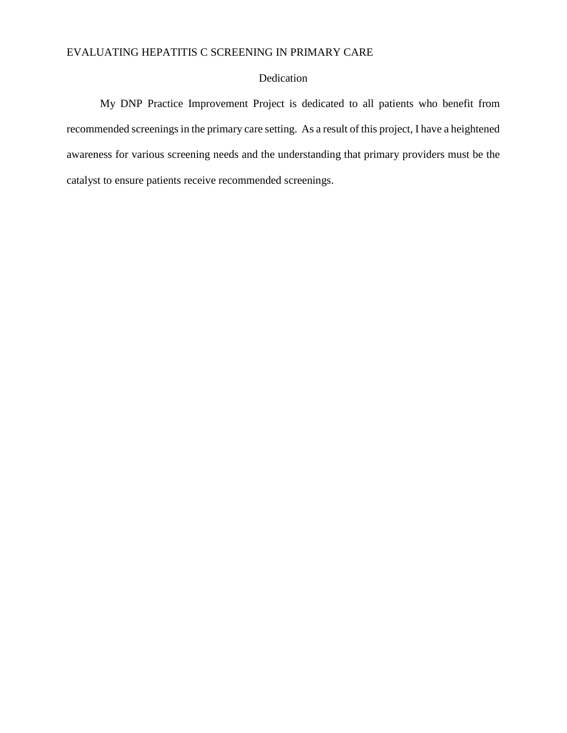## Dedication

My DNP Practice Improvement Project is dedicated to all patients who benefit from recommended screenings in the primary care setting. As a result of this project, I have a heightened awareness for various screening needs and the understanding that primary providers must be the catalyst to ensure patients receive recommended screenings.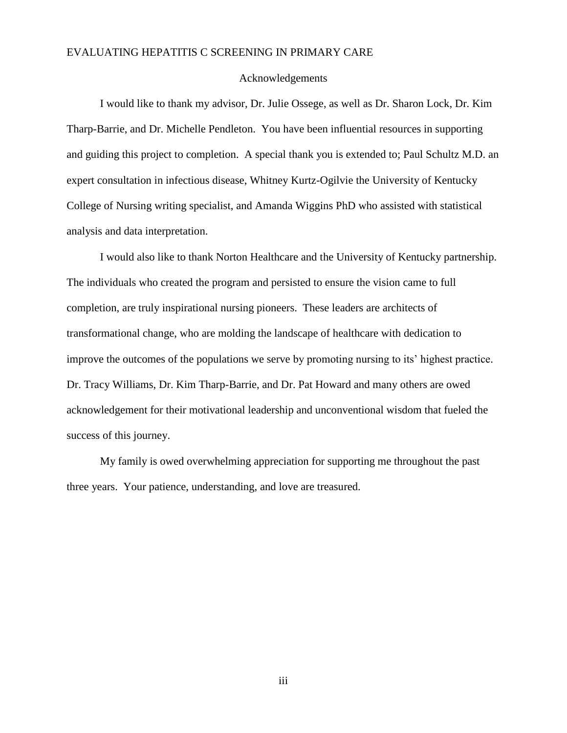#### Acknowledgements

I would like to thank my advisor, Dr. Julie Ossege, as well as Dr. Sharon Lock, Dr. Kim Tharp-Barrie, and Dr. Michelle Pendleton. You have been influential resources in supporting and guiding this project to completion. A special thank you is extended to; Paul Schultz M.D. an expert consultation in infectious disease, Whitney Kurtz-Ogilvie the University of Kentucky College of Nursing writing specialist, and Amanda Wiggins PhD who assisted with statistical analysis and data interpretation.

I would also like to thank Norton Healthcare and the University of Kentucky partnership. The individuals who created the program and persisted to ensure the vision came to full completion, are truly inspirational nursing pioneers. These leaders are architects of transformational change, who are molding the landscape of healthcare with dedication to improve the outcomes of the populations we serve by promoting nursing to its' highest practice. Dr. Tracy Williams, Dr. Kim Tharp-Barrie, and Dr. Pat Howard and many others are owed acknowledgement for their motivational leadership and unconventional wisdom that fueled the success of this journey.

My family is owed overwhelming appreciation for supporting me throughout the past three years. Your patience, understanding, and love are treasured.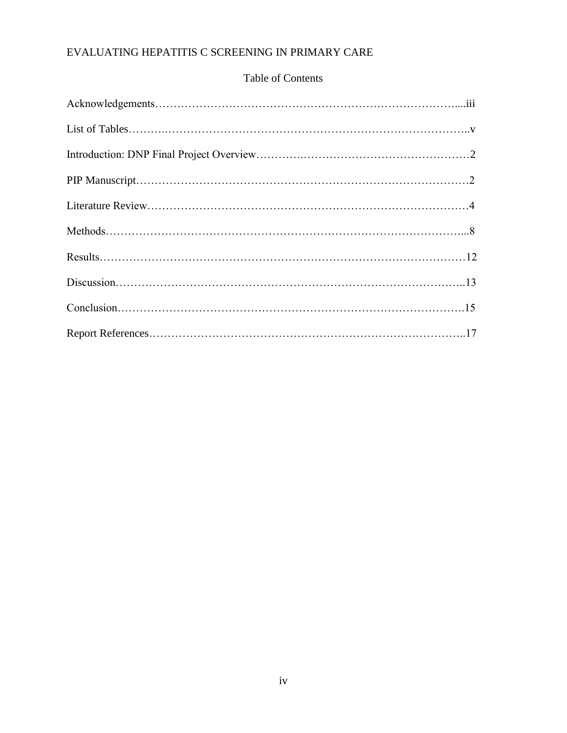# Table of Contents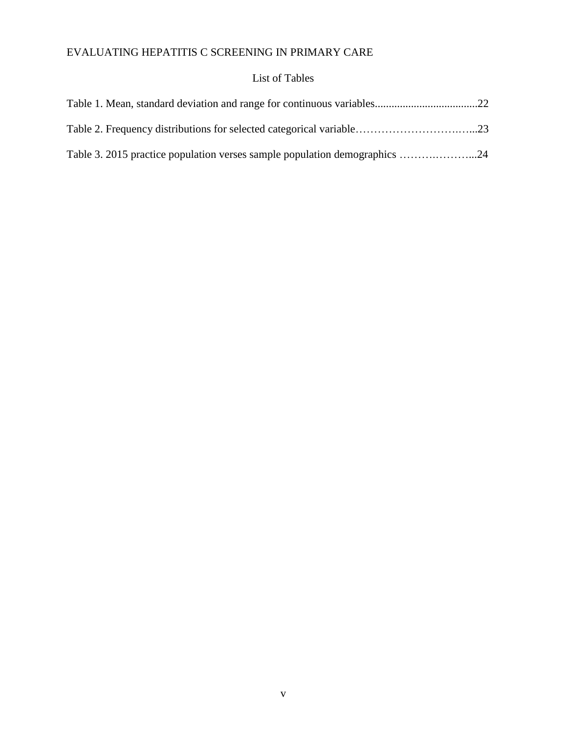# List of Tables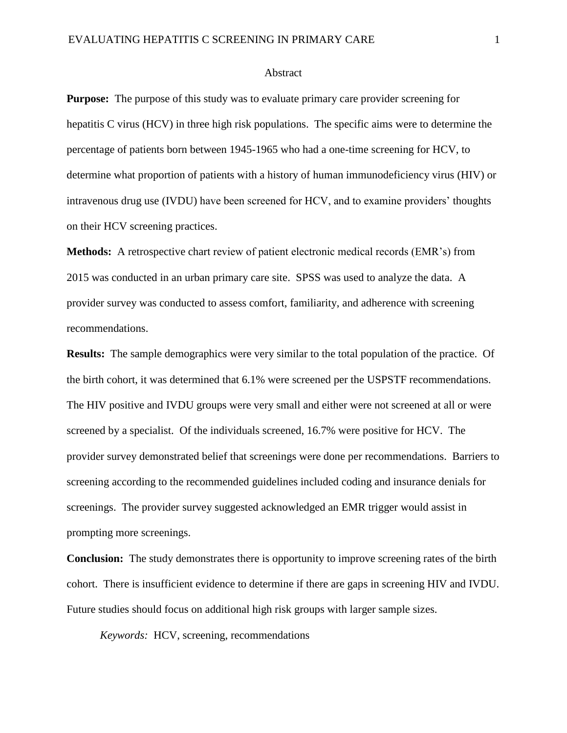#### Abstract

**Purpose:** The purpose of this study was to evaluate primary care provider screening for hepatitis C virus (HCV) in three high risk populations. The specific aims were to determine the percentage of patients born between 1945-1965 who had a one-time screening for HCV, to determine what proportion of patients with a history of human immunodeficiency virus (HIV) or intravenous drug use (IVDU) have been screened for HCV, and to examine providers' thoughts on their HCV screening practices.

**Methods:** A retrospective chart review of patient electronic medical records (EMR's) from 2015 was conducted in an urban primary care site. SPSS was used to analyze the data. A provider survey was conducted to assess comfort, familiarity, and adherence with screening recommendations.

**Results:** The sample demographics were very similar to the total population of the practice. Of the birth cohort, it was determined that 6.1% were screened per the USPSTF recommendations. The HIV positive and IVDU groups were very small and either were not screened at all or were screened by a specialist. Of the individuals screened, 16.7% were positive for HCV. The provider survey demonstrated belief that screenings were done per recommendations. Barriers to screening according to the recommended guidelines included coding and insurance denials for screenings. The provider survey suggested acknowledged an EMR trigger would assist in prompting more screenings.

**Conclusion:** The study demonstrates there is opportunity to improve screening rates of the birth cohort. There is insufficient evidence to determine if there are gaps in screening HIV and IVDU. Future studies should focus on additional high risk groups with larger sample sizes.

*Keywords:* HCV, screening, recommendations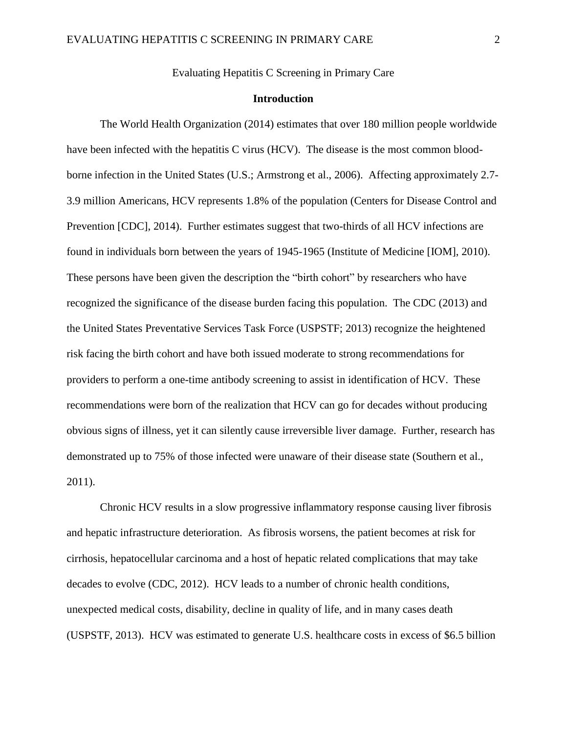Evaluating Hepatitis C Screening in Primary Care

#### **Introduction**

The World Health Organization (2014) estimates that over 180 million people worldwide have been infected with the hepatitis C virus (HCV). The disease is the most common bloodborne infection in the United States (U.S.; Armstrong et al., 2006). Affecting approximately 2.7- 3.9 million Americans, HCV represents 1.8% of the population (Centers for Disease Control and Prevention [CDC], 2014). Further estimates suggest that two-thirds of all HCV infections are found in individuals born between the years of 1945-1965 (Institute of Medicine [IOM], 2010). These persons have been given the description the "birth cohort" by researchers who have recognized the significance of the disease burden facing this population. The CDC (2013) and the United States Preventative Services Task Force (USPSTF; 2013) recognize the heightened risk facing the birth cohort and have both issued moderate to strong recommendations for providers to perform a one-time antibody screening to assist in identification of HCV. These recommendations were born of the realization that HCV can go for decades without producing obvious signs of illness, yet it can silently cause irreversible liver damage. Further, research has demonstrated up to 75% of those infected were unaware of their disease state (Southern et al., 2011).

Chronic HCV results in a slow progressive inflammatory response causing liver fibrosis and hepatic infrastructure deterioration. As fibrosis worsens, the patient becomes at risk for cirrhosis, hepatocellular carcinoma and a host of hepatic related complications that may take decades to evolve (CDC, 2012). HCV leads to a number of chronic health conditions, unexpected medical costs, disability, decline in quality of life, and in many cases death (USPSTF, 2013). HCV was estimated to generate U.S. healthcare costs in excess of \$6.5 billion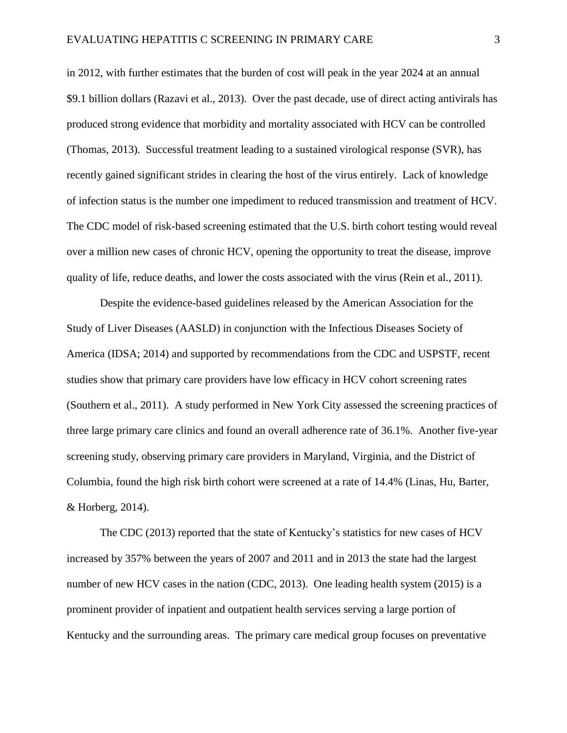in 2012, with further estimates that the burden of cost will peak in the year 2024 at an annual \$9.1 billion dollars (Razavi et al., 2013). Over the past decade, use of direct acting antivirals has produced strong evidence that morbidity and mortality associated with HCV can be controlled (Thomas, 2013). Successful treatment leading to a sustained virological response (SVR), has recently gained significant strides in clearing the host of the virus entirely. Lack of knowledge of infection status is the number one impediment to reduced transmission and treatment of HCV. The CDC model of risk-based screening estimated that the U.S. birth cohort testing would reveal over a million new cases of chronic HCV, opening the opportunity to treat the disease, improve quality of life, reduce deaths, and lower the costs associated with the virus (Rein et al., 2011).

Despite the evidence-based guidelines released by the American Association for the Study of Liver Diseases (AASLD) in conjunction with the Infectious Diseases Society of America (IDSA; 2014) and supported by recommendations from the CDC and USPSTF, recent studies show that primary care providers have low efficacy in HCV cohort screening rates (Southern et al., 2011). A study performed in New York City assessed the screening practices of three large primary care clinics and found an overall adherence rate of 36.1%. Another five-year screening study, observing primary care providers in Maryland, Virginia, and the District of Columbia, found the high risk birth cohort were screened at a rate of 14.4% (Linas, Hu, Barter, & Horberg, 2014).

The CDC (2013) reported that the state of Kentucky's statistics for new cases of HCV increased by 357% between the years of 2007 and 2011 and in 2013 the state had the largest number of new HCV cases in the nation (CDC, 2013). One leading health system (2015) is a prominent provider of inpatient and outpatient health services serving a large portion of Kentucky and the surrounding areas. The primary care medical group focuses on preventative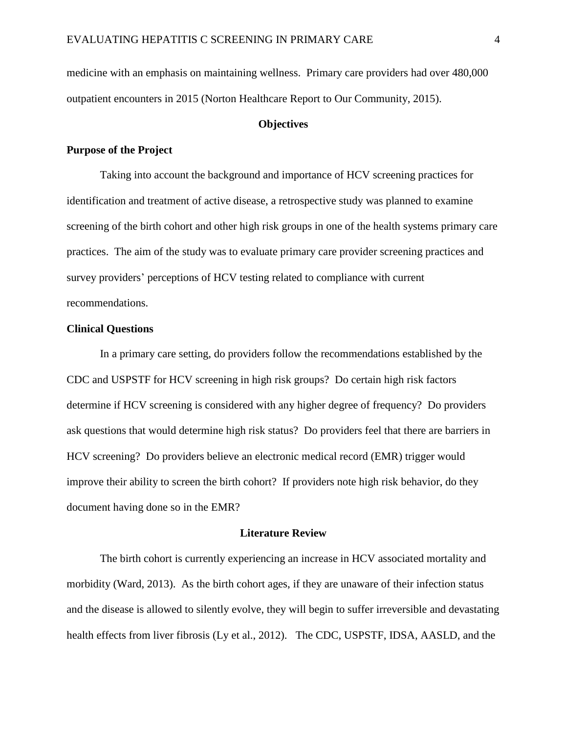medicine with an emphasis on maintaining wellness. Primary care providers had over 480,000 outpatient encounters in 2015 (Norton Healthcare Report to Our Community, 2015).

#### **Objectives**

#### **Purpose of the Project**

Taking into account the background and importance of HCV screening practices for identification and treatment of active disease, a retrospective study was planned to examine screening of the birth cohort and other high risk groups in one of the health systems primary care practices. The aim of the study was to evaluate primary care provider screening practices and survey providers' perceptions of HCV testing related to compliance with current recommendations.

#### **Clinical Questions**

In a primary care setting, do providers follow the recommendations established by the CDC and USPSTF for HCV screening in high risk groups? Do certain high risk factors determine if HCV screening is considered with any higher degree of frequency? Do providers ask questions that would determine high risk status? Do providers feel that there are barriers in HCV screening? Do providers believe an electronic medical record (EMR) trigger would improve their ability to screen the birth cohort? If providers note high risk behavior, do they document having done so in the EMR?

#### **Literature Review**

The birth cohort is currently experiencing an increase in HCV associated mortality and morbidity (Ward, 2013). As the birth cohort ages, if they are unaware of their infection status and the disease is allowed to silently evolve, they will begin to suffer irreversible and devastating health effects from liver fibrosis (Ly et al., 2012). The CDC, USPSTF, IDSA, AASLD, and the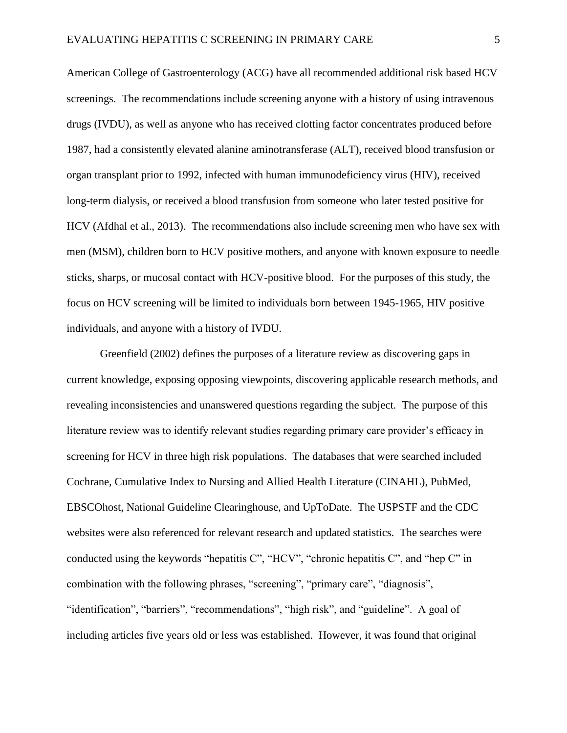American College of Gastroenterology (ACG) have all recommended additional risk based HCV screenings. The recommendations include screening anyone with a history of using intravenous drugs (IVDU), as well as anyone who has received clotting factor concentrates produced before 1987, had a consistently elevated alanine aminotransferase (ALT), received blood transfusion or organ transplant prior to 1992, infected with human immunodeficiency virus (HIV), received long-term dialysis, or received a blood transfusion from someone who later tested positive for HCV (Afdhal et al., 2013). The recommendations also include screening men who have sex with men (MSM), children born to HCV positive mothers, and anyone with known exposure to needle sticks, sharps, or mucosal contact with HCV-positive blood. For the purposes of this study, the focus on HCV screening will be limited to individuals born between 1945-1965, HIV positive individuals, and anyone with a history of IVDU.

Greenfield (2002) defines the purposes of a literature review as discovering gaps in current knowledge, exposing opposing viewpoints, discovering applicable research methods, and revealing inconsistencies and unanswered questions regarding the subject. The purpose of this literature review was to identify relevant studies regarding primary care provider's efficacy in screening for HCV in three high risk populations. The databases that were searched included Cochrane, Cumulative Index to Nursing and Allied Health Literature (CINAHL), PubMed, EBSCOhost, National Guideline Clearinghouse, and UpToDate. The USPSTF and the CDC websites were also referenced for relevant research and updated statistics. The searches were conducted using the keywords "hepatitis C", "HCV", "chronic hepatitis C", and "hep C" in combination with the following phrases, "screening", "primary care", "diagnosis", "identification", "barriers", "recommendations", "high risk", and "guideline". A goal of including articles five years old or less was established. However, it was found that original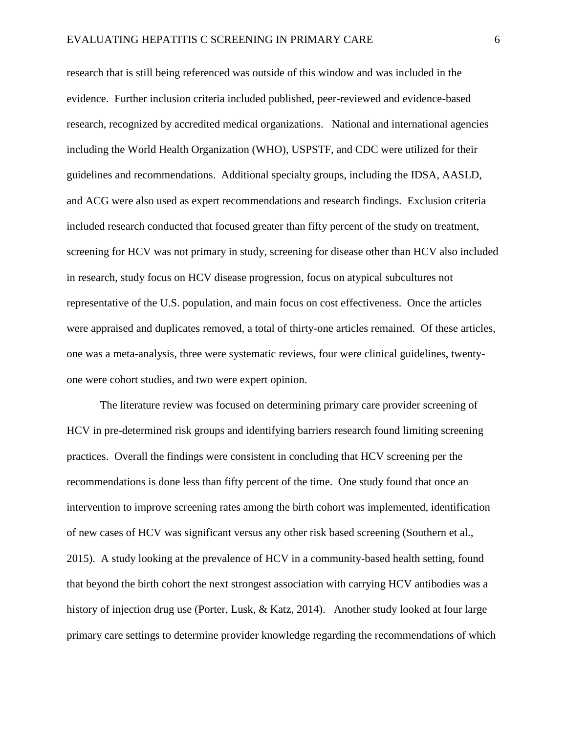research that is still being referenced was outside of this window and was included in the evidence. Further inclusion criteria included published, peer-reviewed and evidence-based research, recognized by accredited medical organizations. National and international agencies including the World Health Organization (WHO), USPSTF, and CDC were utilized for their guidelines and recommendations. Additional specialty groups, including the IDSA, AASLD, and ACG were also used as expert recommendations and research findings. Exclusion criteria included research conducted that focused greater than fifty percent of the study on treatment, screening for HCV was not primary in study, screening for disease other than HCV also included in research, study focus on HCV disease progression, focus on atypical subcultures not representative of the U.S. population, and main focus on cost effectiveness. Once the articles were appraised and duplicates removed, a total of thirty-one articles remained. Of these articles, one was a meta-analysis, three were systematic reviews, four were clinical guidelines, twentyone were cohort studies, and two were expert opinion.

The literature review was focused on determining primary care provider screening of HCV in pre-determined risk groups and identifying barriers research found limiting screening practices. Overall the findings were consistent in concluding that HCV screening per the recommendations is done less than fifty percent of the time. One study found that once an intervention to improve screening rates among the birth cohort was implemented, identification of new cases of HCV was significant versus any other risk based screening (Southern et al., 2015). A study looking at the prevalence of HCV in a community-based health setting, found that beyond the birth cohort the next strongest association with carrying HCV antibodies was a history of injection drug use (Porter, Lusk, & Katz, 2014). Another study looked at four large primary care settings to determine provider knowledge regarding the recommendations of which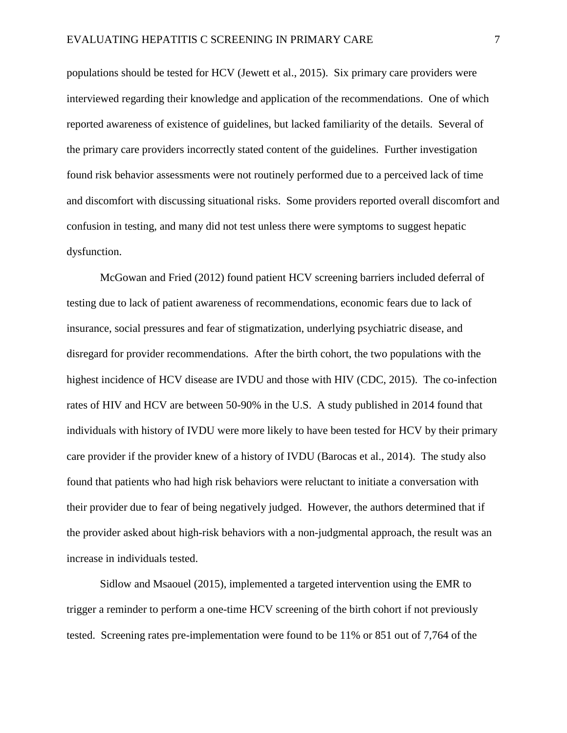populations should be tested for HCV (Jewett et al., 2015). Six primary care providers were interviewed regarding their knowledge and application of the recommendations. One of which reported awareness of existence of guidelines, but lacked familiarity of the details. Several of the primary care providers incorrectly stated content of the guidelines. Further investigation found risk behavior assessments were not routinely performed due to a perceived lack of time and discomfort with discussing situational risks. Some providers reported overall discomfort and confusion in testing, and many did not test unless there were symptoms to suggest hepatic dysfunction.

McGowan and Fried (2012) found patient HCV screening barriers included deferral of testing due to lack of patient awareness of recommendations, economic fears due to lack of insurance, social pressures and fear of stigmatization, underlying psychiatric disease, and disregard for provider recommendations. After the birth cohort, the two populations with the highest incidence of HCV disease are IVDU and those with HIV (CDC, 2015). The co-infection rates of HIV and HCV are between 50-90% in the U.S. A study published in 2014 found that individuals with history of IVDU were more likely to have been tested for HCV by their primary care provider if the provider knew of a history of IVDU (Barocas et al., 2014). The study also found that patients who had high risk behaviors were reluctant to initiate a conversation with their provider due to fear of being negatively judged. However, the authors determined that if the provider asked about high-risk behaviors with a non-judgmental approach, the result was an increase in individuals tested.

Sidlow and Msaouel (2015), implemented a targeted intervention using the EMR to trigger a reminder to perform a one-time HCV screening of the birth cohort if not previously tested. Screening rates pre-implementation were found to be 11% or 851 out of 7,764 of the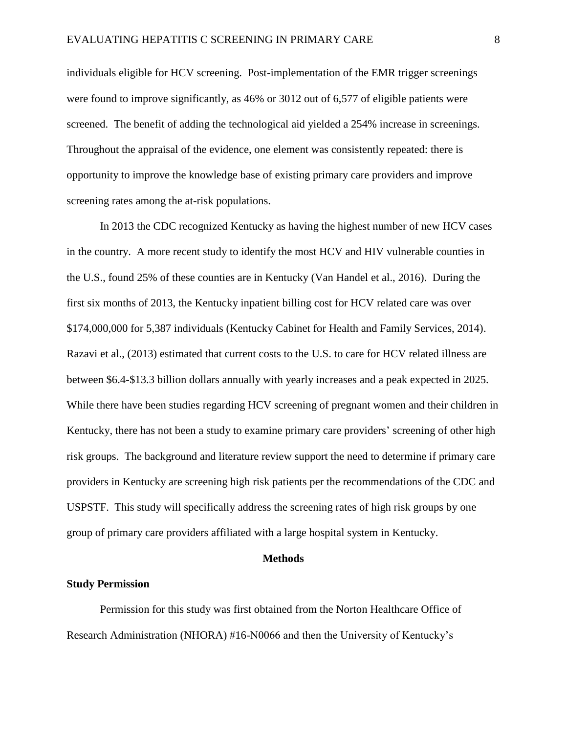individuals eligible for HCV screening. Post-implementation of the EMR trigger screenings were found to improve significantly, as 46% or 3012 out of 6,577 of eligible patients were screened. The benefit of adding the technological aid yielded a 254% increase in screenings. Throughout the appraisal of the evidence, one element was consistently repeated: there is opportunity to improve the knowledge base of existing primary care providers and improve screening rates among the at-risk populations.

In 2013 the CDC recognized Kentucky as having the highest number of new HCV cases in the country. A more recent study to identify the most HCV and HIV vulnerable counties in the U.S., found 25% of these counties are in Kentucky (Van Handel et al., 2016). During the first six months of 2013, the Kentucky inpatient billing cost for HCV related care was over \$174,000,000 for 5,387 individuals (Kentucky Cabinet for Health and Family Services, 2014). Razavi et al., (2013) estimated that current costs to the U.S. to care for HCV related illness are between \$6.4-\$13.3 billion dollars annually with yearly increases and a peak expected in 2025. While there have been studies regarding HCV screening of pregnant women and their children in Kentucky, there has not been a study to examine primary care providers' screening of other high risk groups. The background and literature review support the need to determine if primary care providers in Kentucky are screening high risk patients per the recommendations of the CDC and USPSTF. This study will specifically address the screening rates of high risk groups by one group of primary care providers affiliated with a large hospital system in Kentucky.

#### **Methods**

#### **Study Permission**

Permission for this study was first obtained from the Norton Healthcare Office of Research Administration (NHORA) #16-N0066 and then the University of Kentucky's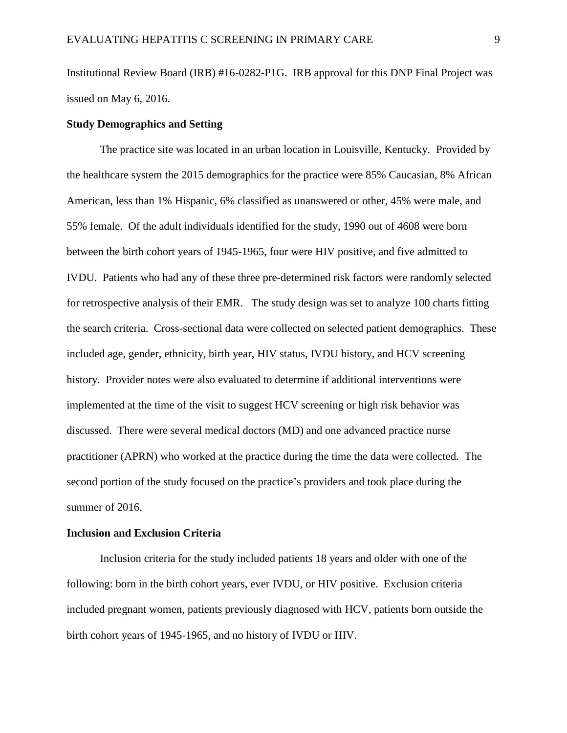Institutional Review Board (IRB) #16-0282-P1G. IRB approval for this DNP Final Project was issued on May 6, 2016.

#### **Study Demographics and Setting**

The practice site was located in an urban location in Louisville, Kentucky. Provided by the healthcare system the 2015 demographics for the practice were 85% Caucasian, 8% African American, less than 1% Hispanic, 6% classified as unanswered or other, 45% were male, and 55% female. Of the adult individuals identified for the study, 1990 out of 4608 were born between the birth cohort years of 1945-1965, four were HIV positive, and five admitted to IVDU. Patients who had any of these three pre-determined risk factors were randomly selected for retrospective analysis of their EMR. The study design was set to analyze 100 charts fitting the search criteria. Cross-sectional data were collected on selected patient demographics. These included age, gender, ethnicity, birth year, HIV status, IVDU history, and HCV screening history. Provider notes were also evaluated to determine if additional interventions were implemented at the time of the visit to suggest HCV screening or high risk behavior was discussed. There were several medical doctors (MD) and one advanced practice nurse practitioner (APRN) who worked at the practice during the time the data were collected. The second portion of the study focused on the practice's providers and took place during the summer of 2016.

#### **Inclusion and Exclusion Criteria**

Inclusion criteria for the study included patients 18 years and older with one of the following: born in the birth cohort years, ever IVDU, or HIV positive. Exclusion criteria included pregnant women, patients previously diagnosed with HCV, patients born outside the birth cohort years of 1945-1965, and no history of IVDU or HIV.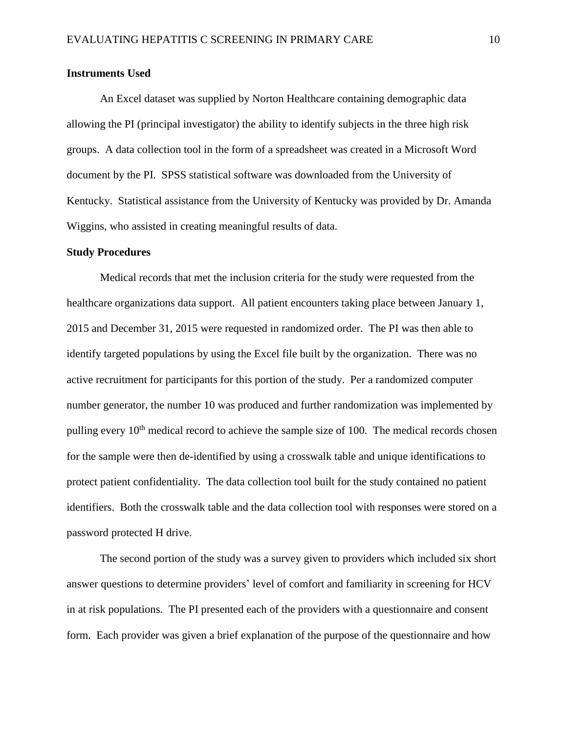#### **Instruments Used**

An Excel dataset was supplied by Norton Healthcare containing demographic data allowing the PI (principal investigator) the ability to identify subjects in the three high risk groups. A data collection tool in the form of a spreadsheet was created in a Microsoft Word document by the PI. SPSS statistical software was downloaded from the University of Kentucky. Statistical assistance from the University of Kentucky was provided by Dr. Amanda Wiggins, who assisted in creating meaningful results of data.

#### **Study Procedures**

Medical records that met the inclusion criteria for the study were requested from the healthcare organizations data support. All patient encounters taking place between January 1, 2015 and December 31, 2015 were requested in randomized order. The PI was then able to identify targeted populations by using the Excel file built by the organization. There was no active recruitment for participants for this portion of the study. Per a randomized computer number generator, the number 10 was produced and further randomization was implemented by pulling every  $10<sup>th</sup>$  medical record to achieve the sample size of 100. The medical records chosen for the sample were then de-identified by using a crosswalk table and unique identifications to protect patient confidentiality. The data collection tool built for the study contained no patient identifiers. Both the crosswalk table and the data collection tool with responses were stored on a password protected H drive.

The second portion of the study was a survey given to providers which included six short answer questions to determine providers' level of comfort and familiarity in screening for HCV in at risk populations. The PI presented each of the providers with a questionnaire and consent form. Each provider was given a brief explanation of the purpose of the questionnaire and how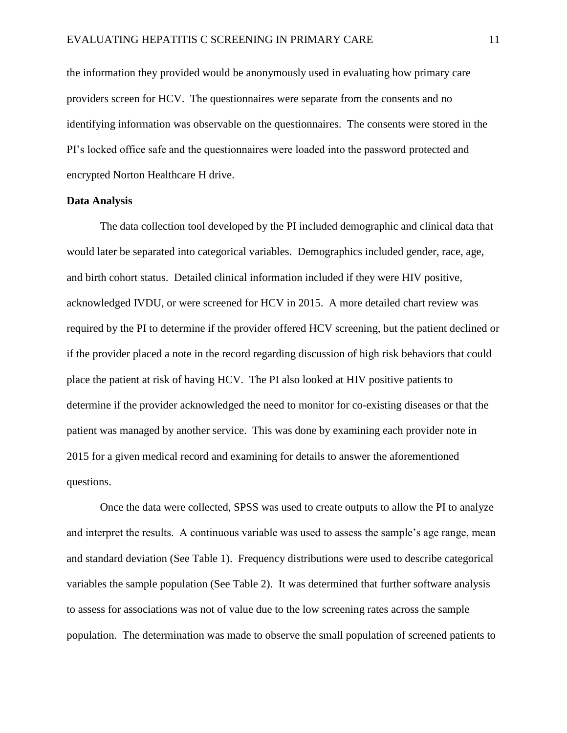the information they provided would be anonymously used in evaluating how primary care providers screen for HCV. The questionnaires were separate from the consents and no identifying information was observable on the questionnaires. The consents were stored in the PI's locked office safe and the questionnaires were loaded into the password protected and encrypted Norton Healthcare H drive.

#### **Data Analysis**

The data collection tool developed by the PI included demographic and clinical data that would later be separated into categorical variables. Demographics included gender, race, age, and birth cohort status. Detailed clinical information included if they were HIV positive, acknowledged IVDU, or were screened for HCV in 2015. A more detailed chart review was required by the PI to determine if the provider offered HCV screening, but the patient declined or if the provider placed a note in the record regarding discussion of high risk behaviors that could place the patient at risk of having HCV. The PI also looked at HIV positive patients to determine if the provider acknowledged the need to monitor for co-existing diseases or that the patient was managed by another service. This was done by examining each provider note in 2015 for a given medical record and examining for details to answer the aforementioned questions.

Once the data were collected, SPSS was used to create outputs to allow the PI to analyze and interpret the results. A continuous variable was used to assess the sample's age range, mean and standard deviation (See Table 1). Frequency distributions were used to describe categorical variables the sample population (See Table 2). It was determined that further software analysis to assess for associations was not of value due to the low screening rates across the sample population. The determination was made to observe the small population of screened patients to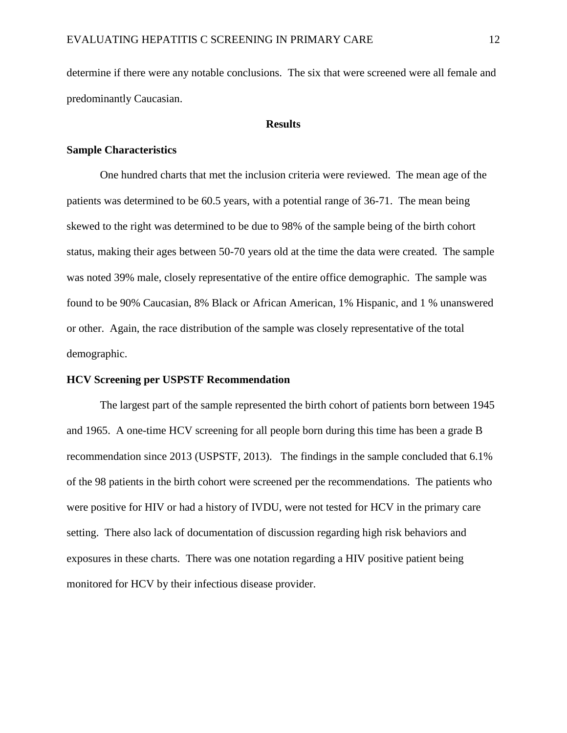determine if there were any notable conclusions. The six that were screened were all female and predominantly Caucasian.

#### **Results**

#### **Sample Characteristics**

One hundred charts that met the inclusion criteria were reviewed. The mean age of the patients was determined to be 60.5 years, with a potential range of 36-71. The mean being skewed to the right was determined to be due to 98% of the sample being of the birth cohort status, making their ages between 50-70 years old at the time the data were created. The sample was noted 39% male, closely representative of the entire office demographic. The sample was found to be 90% Caucasian, 8% Black or African American, 1% Hispanic, and 1 % unanswered or other. Again, the race distribution of the sample was closely representative of the total demographic.

#### **HCV Screening per USPSTF Recommendation**

The largest part of the sample represented the birth cohort of patients born between 1945 and 1965. A one-time HCV screening for all people born during this time has been a grade B recommendation since 2013 (USPSTF, 2013). The findings in the sample concluded that 6.1% of the 98 patients in the birth cohort were screened per the recommendations. The patients who were positive for HIV or had a history of IVDU, were not tested for HCV in the primary care setting. There also lack of documentation of discussion regarding high risk behaviors and exposures in these charts. There was one notation regarding a HIV positive patient being monitored for HCV by their infectious disease provider.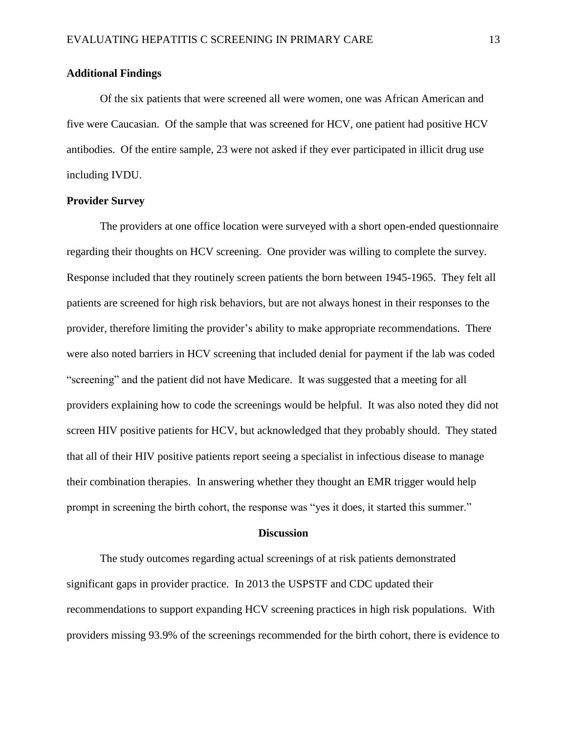#### **Additional Findings**

Of the six patients that were screened all were women, one was African American and five were Caucasian. Of the sample that was screened for HCV, one patient had positive HCV antibodies. Of the entire sample, 23 were not asked if they ever participated in illicit drug use including IVDU.

#### **Provider Survey**

The providers at one office location were surveyed with a short open-ended questionnaire regarding their thoughts on HCV screening. One provider was willing to complete the survey. Response included that they routinely screen patients the born between 1945-1965. They felt all patients are screened for high risk behaviors, but are not always honest in their responses to the provider, therefore limiting the provider's ability to make appropriate recommendations. There were also noted barriers in HCV screening that included denial for payment if the lab was coded "screening" and the patient did not have Medicare. It was suggested that a meeting for all providers explaining how to code the screenings would be helpful. It was also noted they did not screen HIV positive patients for HCV, but acknowledged that they probably should. They stated that all of their HIV positive patients report seeing a specialist in infectious disease to manage their combination therapies. In answering whether they thought an EMR trigger would help prompt in screening the birth cohort, the response was "yes it does, it started this summer."

#### **Discussion**

The study outcomes regarding actual screenings of at risk patients demonstrated significant gaps in provider practice. In 2013 the USPSTF and CDC updated their recommendations to support expanding HCV screening practices in high risk populations. With providers missing 93.9% of the screenings recommended for the birth cohort, there is evidence to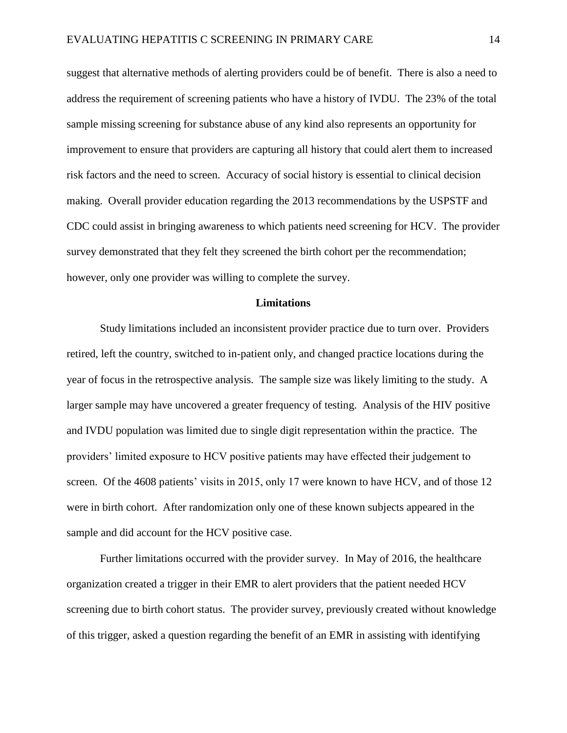suggest that alternative methods of alerting providers could be of benefit. There is also a need to address the requirement of screening patients who have a history of IVDU. The 23% of the total sample missing screening for substance abuse of any kind also represents an opportunity for improvement to ensure that providers are capturing all history that could alert them to increased risk factors and the need to screen. Accuracy of social history is essential to clinical decision making. Overall provider education regarding the 2013 recommendations by the USPSTF and CDC could assist in bringing awareness to which patients need screening for HCV. The provider survey demonstrated that they felt they screened the birth cohort per the recommendation; however, only one provider was willing to complete the survey.

### **Limitations**

Study limitations included an inconsistent provider practice due to turn over. Providers retired, left the country, switched to in-patient only, and changed practice locations during the year of focus in the retrospective analysis. The sample size was likely limiting to the study. A larger sample may have uncovered a greater frequency of testing. Analysis of the HIV positive and IVDU population was limited due to single digit representation within the practice. The providers' limited exposure to HCV positive patients may have effected their judgement to screen. Of the 4608 patients' visits in 2015, only 17 were known to have HCV, and of those 12 were in birth cohort. After randomization only one of these known subjects appeared in the sample and did account for the HCV positive case.

Further limitations occurred with the provider survey. In May of 2016, the healthcare organization created a trigger in their EMR to alert providers that the patient needed HCV screening due to birth cohort status. The provider survey, previously created without knowledge of this trigger, asked a question regarding the benefit of an EMR in assisting with identifying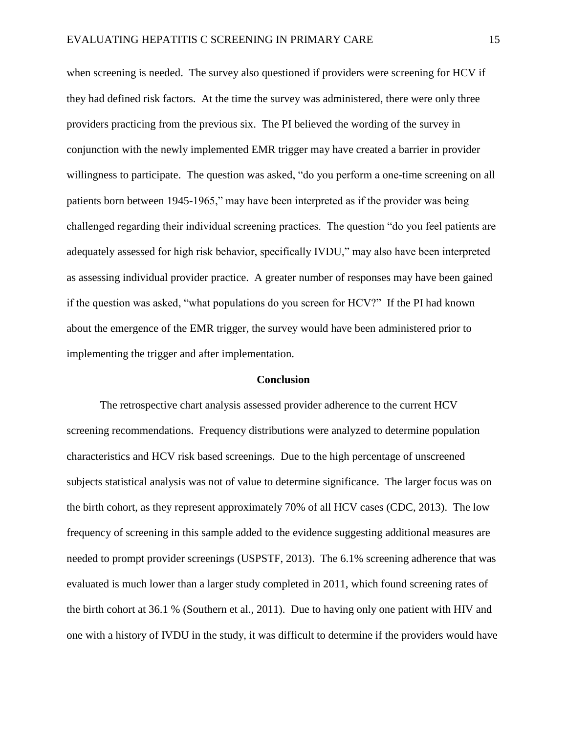when screening is needed. The survey also questioned if providers were screening for HCV if they had defined risk factors. At the time the survey was administered, there were only three providers practicing from the previous six. The PI believed the wording of the survey in conjunction with the newly implemented EMR trigger may have created a barrier in provider willingness to participate. The question was asked, "do you perform a one-time screening on all patients born between 1945-1965," may have been interpreted as if the provider was being challenged regarding their individual screening practices. The question "do you feel patients are adequately assessed for high risk behavior, specifically IVDU," may also have been interpreted as assessing individual provider practice. A greater number of responses may have been gained if the question was asked, "what populations do you screen for HCV?" If the PI had known about the emergence of the EMR trigger, the survey would have been administered prior to implementing the trigger and after implementation.

#### **Conclusion**

The retrospective chart analysis assessed provider adherence to the current HCV screening recommendations. Frequency distributions were analyzed to determine population characteristics and HCV risk based screenings. Due to the high percentage of unscreened subjects statistical analysis was not of value to determine significance. The larger focus was on the birth cohort, as they represent approximately 70% of all HCV cases (CDC, 2013). The low frequency of screening in this sample added to the evidence suggesting additional measures are needed to prompt provider screenings (USPSTF, 2013). The 6.1% screening adherence that was evaluated is much lower than a larger study completed in 2011, which found screening rates of the birth cohort at 36.1 % (Southern et al., 2011). Due to having only one patient with HIV and one with a history of IVDU in the study, it was difficult to determine if the providers would have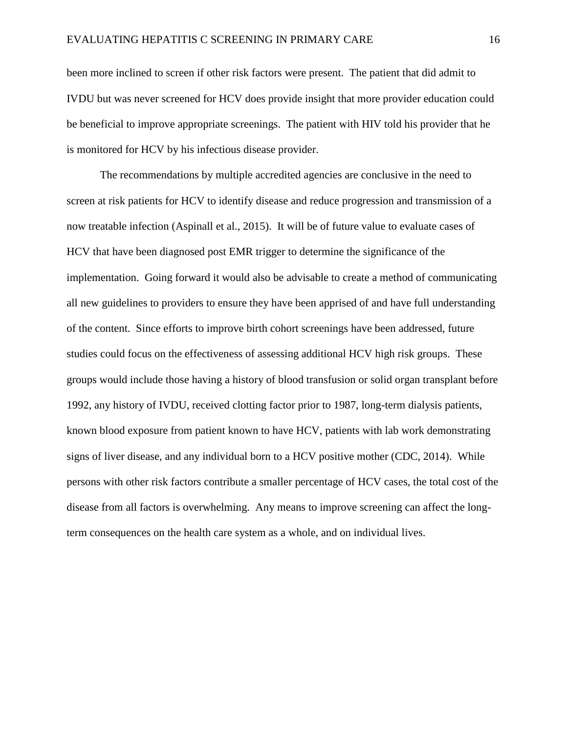been more inclined to screen if other risk factors were present. The patient that did admit to IVDU but was never screened for HCV does provide insight that more provider education could be beneficial to improve appropriate screenings. The patient with HIV told his provider that he is monitored for HCV by his infectious disease provider.

The recommendations by multiple accredited agencies are conclusive in the need to screen at risk patients for HCV to identify disease and reduce progression and transmission of a now treatable infection (Aspinall et al., 2015). It will be of future value to evaluate cases of HCV that have been diagnosed post EMR trigger to determine the significance of the implementation. Going forward it would also be advisable to create a method of communicating all new guidelines to providers to ensure they have been apprised of and have full understanding of the content. Since efforts to improve birth cohort screenings have been addressed, future studies could focus on the effectiveness of assessing additional HCV high risk groups. These groups would include those having a history of blood transfusion or solid organ transplant before 1992, any history of IVDU, received clotting factor prior to 1987, long-term dialysis patients, known blood exposure from patient known to have HCV, patients with lab work demonstrating signs of liver disease, and any individual born to a HCV positive mother (CDC, 2014). While persons with other risk factors contribute a smaller percentage of HCV cases, the total cost of the disease from all factors is overwhelming. Any means to improve screening can affect the longterm consequences on the health care system as a whole, and on individual lives.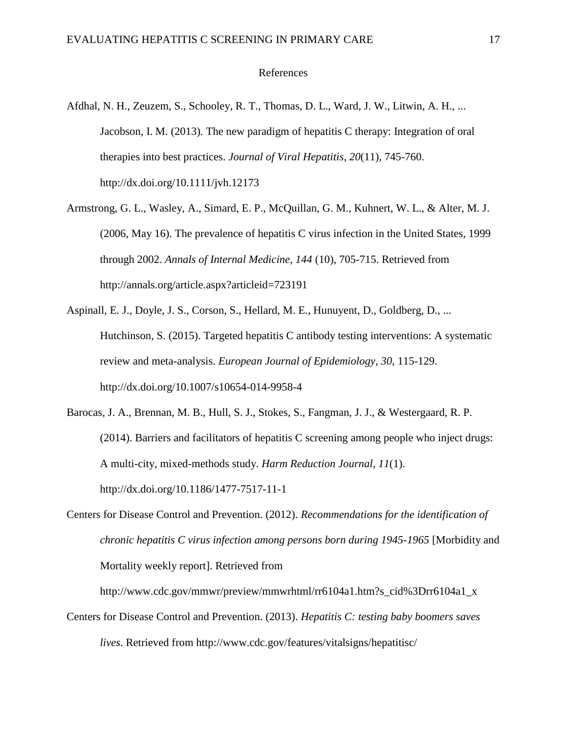#### References

- Afdhal, N. H., Zeuzem, S., Schooley, R. T., Thomas, D. L., Ward, J. W., Litwin, A. H., ... Jacobson, I. M. (2013). The new paradigm of hepatitis C therapy: Integration of oral therapies into best practices. *Journal of Viral Hepatitis*, *20*(11), 745-760. http://dx.doi.org/10.1111/jvh.12173
- Armstrong, G. L., Wasley, A., Simard, E. P., McQuillan, G. M., Kuhnert, W. L., & Alter, M. J. (2006, May 16). The prevalence of hepatitis C virus infection in the United States, 1999 through 2002. *Annals of Internal Medicine*, *144* (10), 705-715. Retrieved from http://annals.org/article.aspx?articleid=723191
- Aspinall, E. J., Doyle, J. S., Corson, S., Hellard, M. E., Hunuyent, D., Goldberg, D., ... Hutchinson, S. (2015). Targeted hepatitis C antibody testing interventions: A systematic review and meta-analysis. *European Journal of Epidemiology*, *30*, 115-129. http://dx.doi.org/10.1007/s10654-014-9958-4
- Barocas, J. A., Brennan, M. B., Hull, S. J., Stokes, S., Fangman, J. J., & Westergaard, R. P. (2014). Barriers and facilitators of hepatitis C screening among people who inject drugs: A multi-city, mixed-methods study. *Harm Reduction Journal*, *11*(1). http://dx.doi.org/10.1186/1477-7517-11-1
- Centers for Disease Control and Prevention. (2012). *Recommendations for the identification of chronic hepatitis C virus infection among persons born during 1945-1965* [Morbidity and Mortality weekly report]. Retrieved from

http://www.cdc.gov/mmwr/preview/mmwrhtml/rr6104a1.htm?s\_cid%3Drr6104a1\_x

Centers for Disease Control and Prevention. (2013). *Hepatitis C: testing baby boomers saves lives*. Retrieved from http://www.cdc.gov/features/vitalsigns/hepatitisc/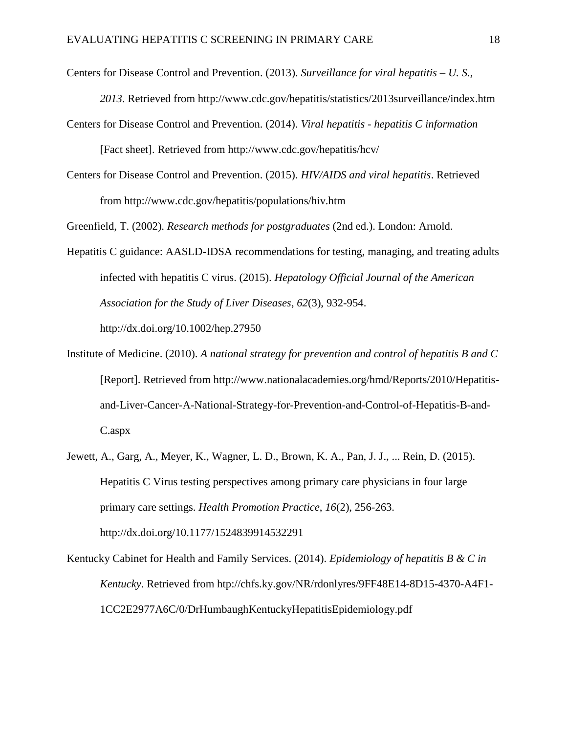Centers for Disease Control and Prevention. (2013). *Surveillance for viral hepatitis – U. S.,* 

*2013*. Retrieved from http://www.cdc.gov/hepatitis/statistics/2013surveillance/index.htm

- Centers for Disease Control and Prevention. (2014). *Viral hepatitis - hepatitis C information*  [Fact sheet]. Retrieved from http://www.cdc.gov/hepatitis/hcv/
- Centers for Disease Control and Prevention. (2015). *HIV/AIDS and viral hepatitis*. Retrieved from http://www.cdc.gov/hepatitis/populations/hiv.htm

Greenfield, T. (2002). *Research methods for postgraduates* (2nd ed.). London: Arnold.

- Hepatitis C guidance: AASLD-IDSA recommendations for testing, managing, and treating adults infected with hepatitis C virus. (2015). *Hepatology Official Journal of the American Association for the Study of Liver Diseases*, *62*(3), 932-954. http://dx.doi.org/10.1002/hep.27950
- Institute of Medicine. (2010). *A national strategy for prevention and control of hepatitis B and C*  [Report]. Retrieved from http://www.nationalacademies.org/hmd/Reports/2010/Hepatitisand-Liver-Cancer-A-National-Strategy-for-Prevention-and-Control-of-Hepatitis-B-and-C.aspx
- Jewett, A., Garg, A., Meyer, K., Wagner, L. D., Brown, K. A., Pan, J. J., ... Rein, D. (2015). Hepatitis C Virus testing perspectives among primary care physicians in four large primary care settings. *Health Promotion Practice*, *16*(2), 256-263. http://dx.doi.org/10.1177/1524839914532291
- Kentucky Cabinet for Health and Family Services. (2014). *Epidemiology of hepatitis B & C in Kentucky*. Retrieved from htp://chfs.ky.gov/NR/rdonlyres/9FF48E14-8D15-4370-A4F1- 1CC2E2977A6C/0/DrHumbaughKentuckyHepatitisEpidemiology.pdf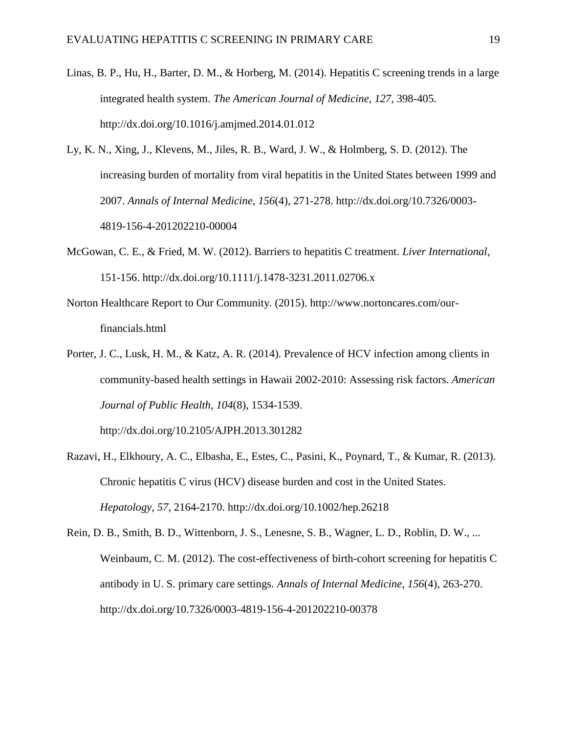- Linas, B. P., Hu, H., Barter, D. M., & Horberg, M. (2014). Hepatitis C screening trends in a large integrated health system. *The American Journal of Medicine*, *127*, 398-405. http://dx.doi.org/10.1016/j.amjmed.2014.01.012
- Ly, K. N., Xing, J., Klevens, M., Jiles, R. B., Ward, J. W., & Holmberg, S. D. (2012). The increasing burden of mortality from viral hepatitis in the United States between 1999 and 2007. *Annals of Internal Medicine*, *156*(4), 271-278. http://dx.doi.org/10.7326/0003- 4819-156-4-201202210-00004
- McGowan, C. E., & Fried, M. W. (2012). Barriers to hepatitis C treatment. *Liver International*, 151-156. http://dx.doi.org/10.1111/j.1478-3231.2011.02706.x
- Norton Healthcare Report to Our Community. (2015). http://www.nortoncares.com/ourfinancials.html
- Porter, J. C., Lusk, H. M., & Katz, A. R. (2014). Prevalence of HCV infection among clients in community-based health settings in Hawaii 2002-2010: Assessing risk factors. *American Journal of Public Health*, *104*(8), 1534-1539.

http://dx.doi.org/10.2105/AJPH.2013.301282

- Razavi, H., Elkhoury, A. C., Elbasha, E., Estes, C., Pasini, K., Poynard, T., & Kumar, R. (2013). Chronic hepatitis C virus (HCV) disease burden and cost in the United States. *Hepatology*, *57*, 2164-2170. http://dx.doi.org/10.1002/hep.26218
- Rein, D. B., Smith, B. D., Wittenborn, J. S., Lenesne, S. B., Wagner, L. D., Roblin, D. W., ... Weinbaum, C. M. (2012). The cost-effectiveness of birth-cohort screening for hepatitis C antibody in U. S. primary care settings. *Annals of Internal Medicine*, *156*(4), 263-270. http://dx.doi.org/10.7326/0003-4819-156-4-201202210-00378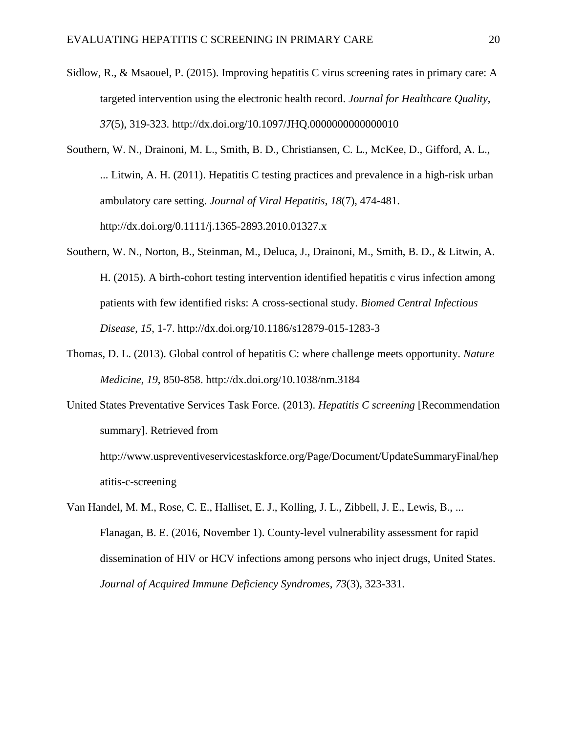- Sidlow, R., & Msaouel, P. (2015). Improving hepatitis C virus screening rates in primary care: A targeted intervention using the electronic health record. *Journal for Healthcare Quality*, *37*(5), 319-323. http://dx.doi.org/10.1097/JHQ.0000000000000010
- Southern, W. N., Drainoni, M. L., Smith, B. D., Christiansen, C. L., McKee, D., Gifford, A. L., ... Litwin, A. H. (2011). Hepatitis C testing practices and prevalence in a high-risk urban ambulatory care setting. *Journal of Viral Hepatitis*, *18*(7), 474-481. http://dx.doi.org/0.1111/j.1365-2893.2010.01327.x
- Southern, W. N., Norton, B., Steinman, M., Deluca, J., Drainoni, M., Smith, B. D., & Litwin, A. H. (2015). A birth-cohort testing intervention identified hepatitis c virus infection among patients with few identified risks: A cross-sectional study. *Biomed Central Infectious Disease*, *15*, 1-7. http://dx.doi.org/10.1186/s12879-015-1283-3
- Thomas, D. L. (2013). Global control of hepatitis C: where challenge meets opportunity. *Nature Medicine*, *19*, 850-858. http://dx.doi.org/10.1038/nm.3184
- United States Preventative Services Task Force. (2013). *Hepatitis C screening* [Recommendation summary]. Retrieved from

http://www.uspreventiveservicestaskforce.org/Page/Document/UpdateSummaryFinal/hep atitis-c-screening

Van Handel, M. M., Rose, C. E., Halliset, E. J., Kolling, J. L., Zibbell, J. E., Lewis, B., ... Flanagan, B. E. (2016, November 1). County-level vulnerability assessment for rapid dissemination of HIV or HCV infections among persons who inject drugs, United States. *Journal of Acquired Immune Deficiency Syndromes*, *73*(3), 323-331.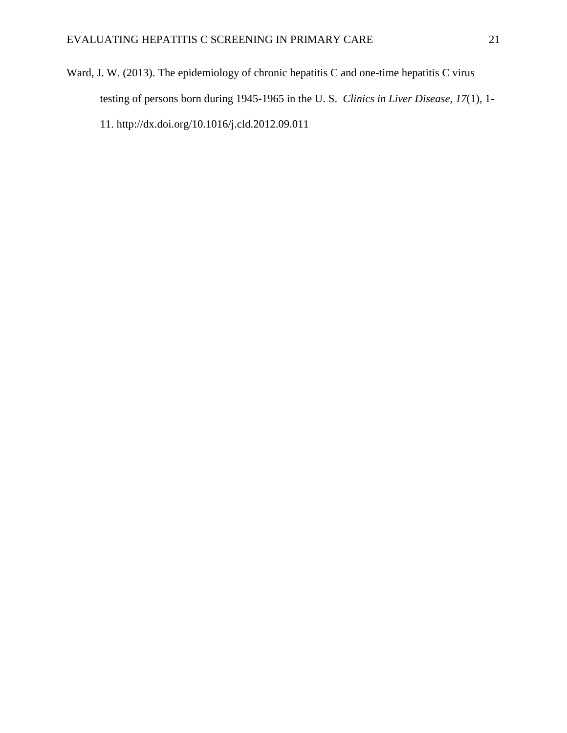Ward, J. W. (2013). The epidemiology of chronic hepatitis C and one-time hepatitis C virus testing of persons born during 1945-1965 in the U. S. *Clinics in Liver Disease*, *17*(1), 1- 11. http://dx.doi.org/10.1016/j.cld.2012.09.011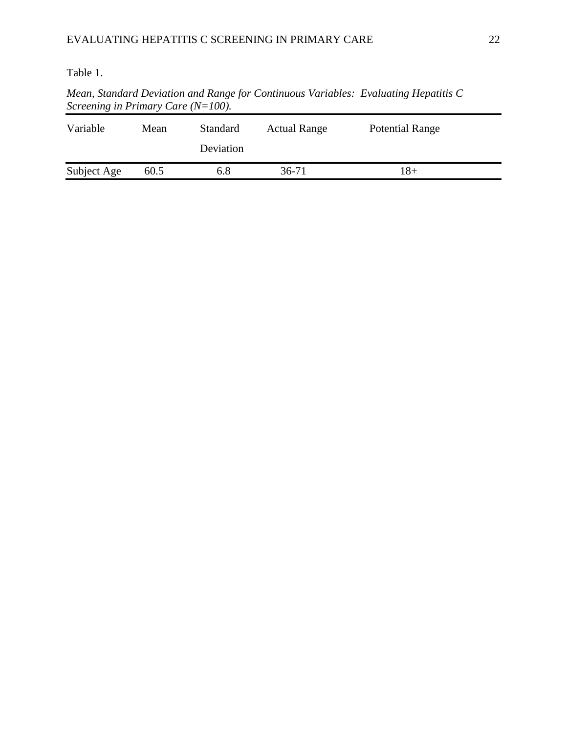### Table 1.

*Mean, Standard Deviation and Range for Continuous Variables: Evaluating Hepatitis C Screening in Primary Care (N=100).*

| Variable    | Mean | <b>Standard</b><br>Deviation | <b>Actual Range</b> | <b>Potential Range</b> |  |
|-------------|------|------------------------------|---------------------|------------------------|--|
| Subject Age | 60.5 | 6.8                          | 36-71               | l 8+                   |  |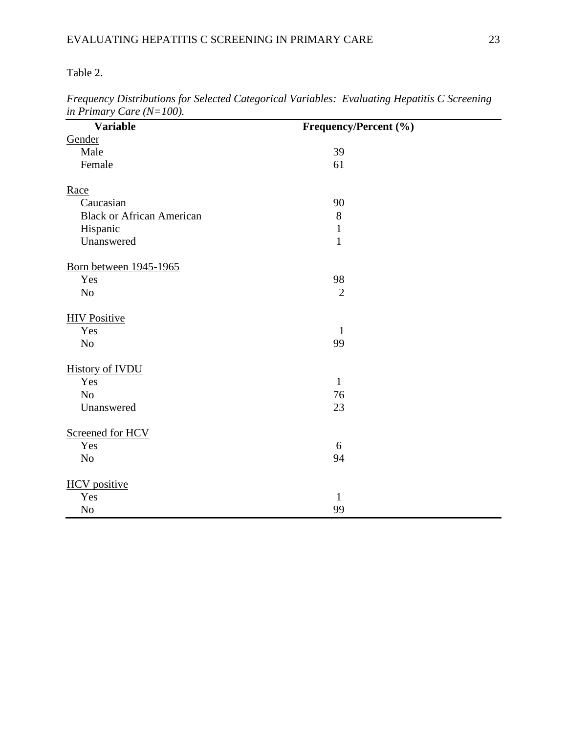Table 2.

| <b>Variable</b>                  | Frequency/Percent (%) |  |
|----------------------------------|-----------------------|--|
| Gender                           |                       |  |
| Male                             | 39                    |  |
| Female                           | 61                    |  |
|                                  |                       |  |
| Race                             |                       |  |
| Caucasian                        | 90                    |  |
| <b>Black or African American</b> | $8\,$                 |  |
| Hispanic                         | $\mathbf{1}$          |  |
| Unanswered                       | $1\,$                 |  |
| <b>Born between 1945-1965</b>    |                       |  |
| Yes                              | 98                    |  |
| No                               | $\overline{2}$        |  |
|                                  |                       |  |
| <b>HIV Positive</b>              |                       |  |
| Yes                              | $\mathbf{1}$          |  |
| N <sub>o</sub>                   | 99                    |  |
|                                  |                       |  |
| <b>History of IVDU</b>           |                       |  |
| Yes                              | $\mathbf{1}$          |  |
| No                               | 76                    |  |
| Unanswered                       | 23                    |  |
|                                  |                       |  |
| Screened for HCV                 |                       |  |
| Yes                              | 6                     |  |
| No                               | 94                    |  |
| <b>HCV</b> positive              |                       |  |
| Yes                              | $\mathbf{1}$          |  |
| $\rm No$                         | 99                    |  |

*Frequency Distributions for Selected Categorical Variables: Evaluating Hepatitis C Screening in Primary Care (N=100).*